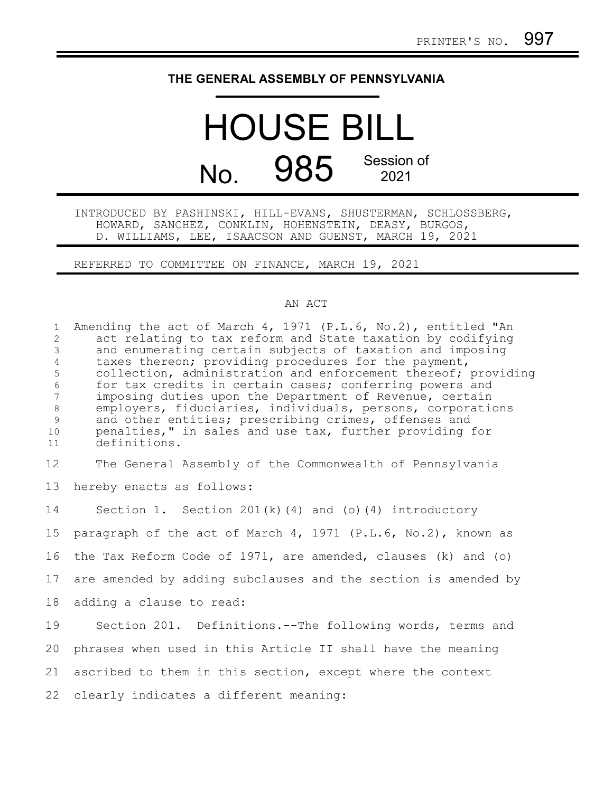## **THE GENERAL ASSEMBLY OF PENNSYLVANIA**

## HOUSE BILL No. 985 Session of 2021

INTRODUCED BY PASHINSKI, HILL-EVANS, SHUSTERMAN, SCHLOSSBERG, HOWARD, SANCHEZ, CONKLIN, HOHENSTEIN, DEASY, BURGOS, D. WILLIAMS, LEE, ISAACSON AND GUENST, MARCH 19, 2021

REFERRED TO COMMITTEE ON FINANCE, MARCH 19, 2021

## AN ACT

| $\mathbf{1}$<br>2<br>$\mathfrak{Z}$<br>$\overline{4}$<br>5<br>$\sqrt{6}$<br>$\overline{7}$<br>$8\,$<br>$\mathcal{G}$<br>10<br>11 | Amending the act of March 4, 1971 (P.L.6, No.2), entitled "An<br>act relating to tax reform and State taxation by codifying<br>and enumerating certain subjects of taxation and imposing<br>taxes thereon; providing procedures for the payment,<br>collection, administration and enforcement thereof; providing<br>for tax credits in certain cases; conferring powers and<br>imposing duties upon the Department of Revenue, certain<br>employers, fiduciaries, individuals, persons, corporations<br>and other entities; prescribing crimes, offenses and<br>penalties," in sales and use tax, further providing for<br>definitions. |
|----------------------------------------------------------------------------------------------------------------------------------|------------------------------------------------------------------------------------------------------------------------------------------------------------------------------------------------------------------------------------------------------------------------------------------------------------------------------------------------------------------------------------------------------------------------------------------------------------------------------------------------------------------------------------------------------------------------------------------------------------------------------------------|
| 12                                                                                                                               | The General Assembly of the Commonwealth of Pennsylvania                                                                                                                                                                                                                                                                                                                                                                                                                                                                                                                                                                                 |
| 13                                                                                                                               | hereby enacts as follows:                                                                                                                                                                                                                                                                                                                                                                                                                                                                                                                                                                                                                |
| 14                                                                                                                               | Section 1. Section $201(k)$ (4) and (o) (4) introductory                                                                                                                                                                                                                                                                                                                                                                                                                                                                                                                                                                                 |
| 15                                                                                                                               | paragraph of the act of March 4, 1971 (P.L.6, No.2), known as                                                                                                                                                                                                                                                                                                                                                                                                                                                                                                                                                                            |
| 16                                                                                                                               | the Tax Reform Code of 1971, are amended, clauses (k) and (o)                                                                                                                                                                                                                                                                                                                                                                                                                                                                                                                                                                            |
| 17                                                                                                                               | are amended by adding subclauses and the section is amended by                                                                                                                                                                                                                                                                                                                                                                                                                                                                                                                                                                           |
| 18                                                                                                                               | adding a clause to read:                                                                                                                                                                                                                                                                                                                                                                                                                                                                                                                                                                                                                 |
| 19                                                                                                                               | Section 201. Definitions.--The following words, terms and                                                                                                                                                                                                                                                                                                                                                                                                                                                                                                                                                                                |
| 20                                                                                                                               | phrases when used in this Article II shall have the meaning                                                                                                                                                                                                                                                                                                                                                                                                                                                                                                                                                                              |
| 21                                                                                                                               | ascribed to them in this section, except where the context                                                                                                                                                                                                                                                                                                                                                                                                                                                                                                                                                                               |
| 22                                                                                                                               | clearly indicates a different meaning:                                                                                                                                                                                                                                                                                                                                                                                                                                                                                                                                                                                                   |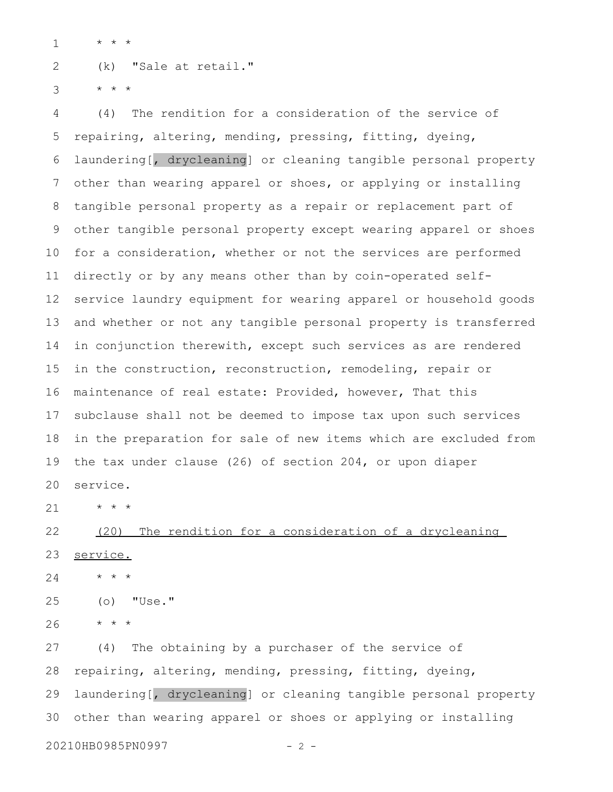\* \* \* 1

(k) "Sale at retail." 2

\* \* \* 3

(4) The rendition for a consideration of the service of repairing, altering, mending, pressing, fitting, dyeing, laundering[, drycleaning] or cleaning tangible personal property other than wearing apparel or shoes, or applying or installing tangible personal property as a repair or replacement part of other tangible personal property except wearing apparel or shoes for a consideration, whether or not the services are performed directly or by any means other than by coin-operated selfservice laundry equipment for wearing apparel or household goods and whether or not any tangible personal property is transferred in conjunction therewith, except such services as are rendered in the construction, reconstruction, remodeling, repair or maintenance of real estate: Provided, however, That this subclause shall not be deemed to impose tax upon such services in the preparation for sale of new items which are excluded from the tax under clause (26) of section 204, or upon diaper service. 4 5 6 7 8 9 10 11 12 13 14 15 16 17 18 19 20

\* \* \* 21

(20) The rendition for a consideration of a drycleaning service. 22 23

\* \* \* 24

(o) "Use." 25

\* \* \* 26

(4) The obtaining by a purchaser of the service of repairing, altering, mending, pressing, fitting, dyeing, laundering[, drycleaning] or cleaning tangible personal property other than wearing apparel or shoes or applying or installing 27 28 29 30

20210HB0985PN0997 - 2 -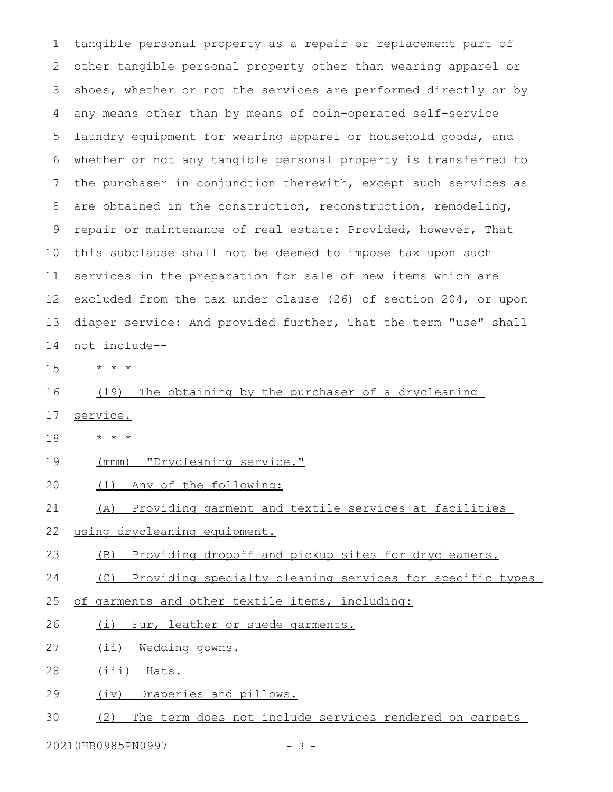tangible personal property as a repair or replacement part of other tangible personal property other than wearing apparel or shoes, whether or not the services are performed directly or by any means other than by means of coin-operated self-service laundry equipment for wearing apparel or household goods, and whether or not any tangible personal property is transferred to the purchaser in conjunction therewith, except such services as are obtained in the construction, reconstruction, remodeling, repair or maintenance of real estate: Provided, however, That this subclause shall not be deemed to impose tax upon such services in the preparation for sale of new items which are excluded from the tax under clause (26) of section 204, or upon diaper service: And provided further, That the term "use" shall not include-- 1 2 3 4 5 6 7 8 9 10 11 12 13 14

\* \* \* 15

(19) The obtaining by the purchaser of a drycleaning 16

- service. 17
- \* \* \* 18
- (mmm) "Drycleaning service." 19
- (1) Any of the following: 20

(A) Providing garment and textile services at facilities 21

- using drycleaning equipment. 22
- (B) Providing dropoff and pickup sites for drycleaners. 23
- (C) Providing specialty cleaning services for specific types 24
- of garments and other textile items, including: 25
- (i) Fur, leather or suede garments. 26
- (ii) Wedding gowns. 27
- (iii) Hats. 28
- (iv) Draperies and pillows. 29
- (2) The term does not include services rendered on carpets 30

20210HB0985PN0997 - 3 -